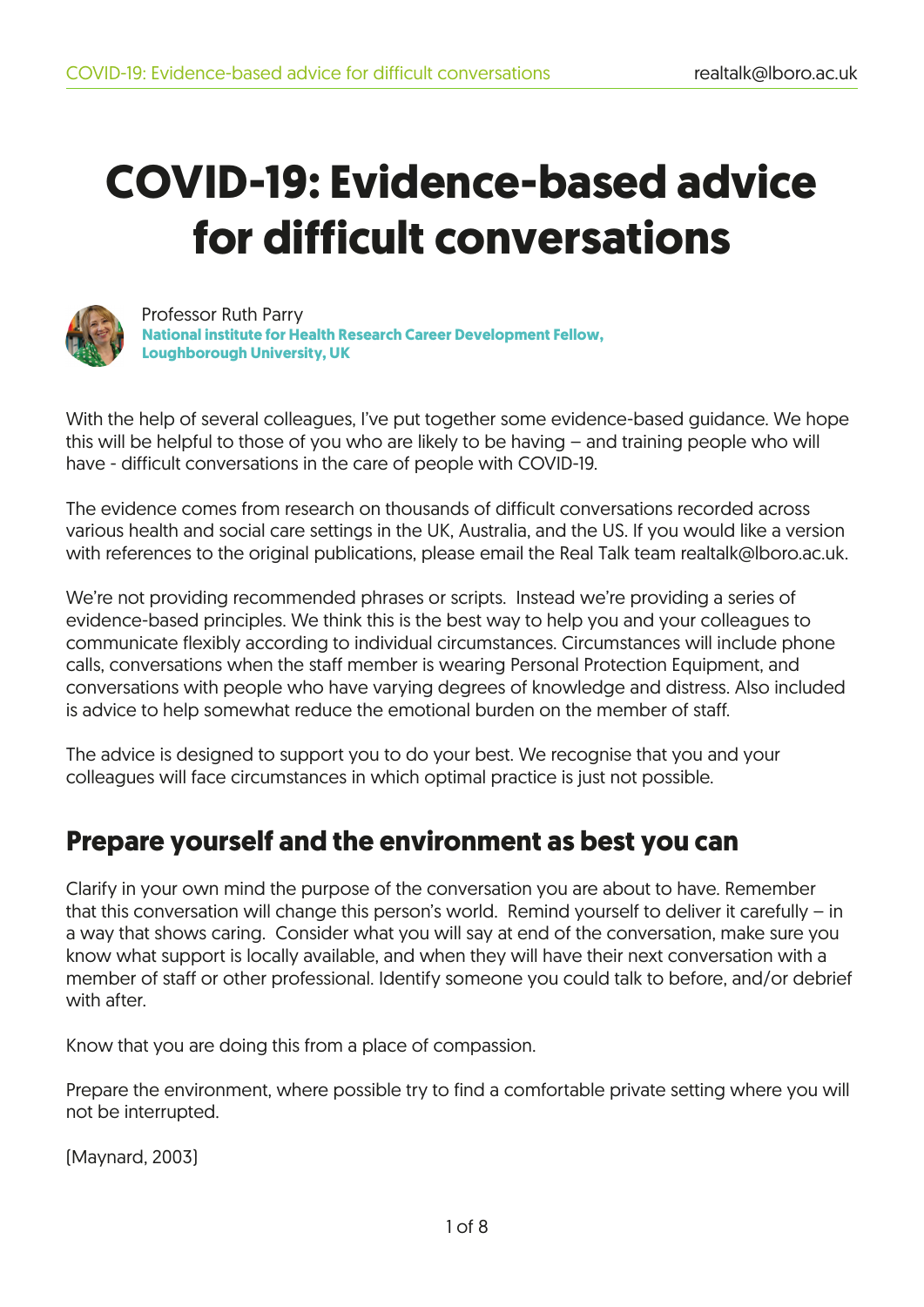# **COVID-19: Evidence-based advice for difficult conversations**



 Professor Ruth Parry  **National institute for Health Research Career Development Fellow, Loughborough University, UK** 

With the help of several colleagues, I've put together some evidence-based guidance. We hope this will be helpful to those of you who are likely to be having – and training people who will have - difficult conversations in the care of people with COVID-19.

The evidence comes from research on thousands of difficult conversations recorded across various health and social care settings in the UK, Australia, and the US. If you would like a version with references to the original publications, please email the Real Talk team realtalk@lboro.ac.uk.

We're not providing recommended phrases or scripts. Instead we're providing a series of evidence-based principles. We think this is the best way to help you and your colleagues to communicate flexibly according to individual circumstances. Circumstances will include phone calls, conversations when the staff member is wearing Personal Protection Equipment, and conversations with people who have varying degrees of knowledge and distress. Also included is advice to help somewhat reduce the emotional burden on the member of staff.

The advice is designed to support you to do your best. We recognise that you and your colleagues will face circumstances in which optimal practice is just not possible.

### **Prepare yourself and the environment as best you can**

Clarify in your own mind the purpose of the conversation you are about to have. Remember that this conversation will change this person's world. Remind yourself to deliver it carefully – in a way that shows caring. Consider what you will say at end of the conversation, make sure you know what support is locally available, and when they will have their next conversation with a member of staff or other professional. Identify someone you could talk to before, and/or debrief with after.

Know that you are doing this from a place of compassion.

Prepare the environment, where possible try to find a comfortable private setting where you will not be interrupted.

(Maynard, 2003)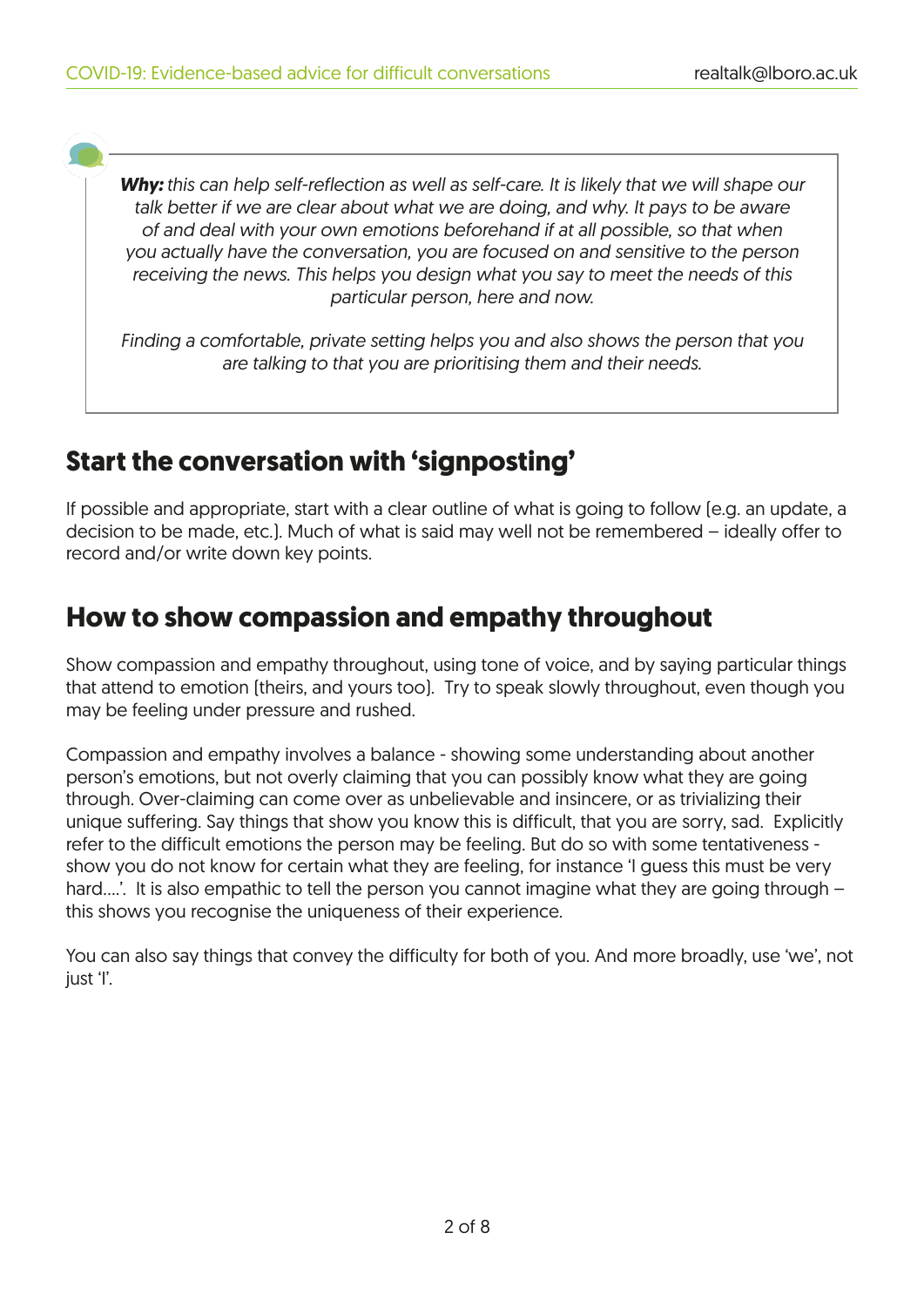*Why: this can help self-reflection as well as self-care. It is likely that we will shape our talk better if we are clear about what we are doing, and why. It pays to be aware of and deal with your own emotions beforehand if at all possible, so that when you actually have the conversation, you are focused on and sensitive to the person receiving the news. This helps you design what you say to meet the needs of this particular person, here and now.* 

*Finding a comfortable, private setting helps you and also shows the person that you are talking to that you are prioritising them and their needs.*

#### **Start the conversation with 'signposting'**

If possible and appropriate, start with a clear outline of what is going to follow (e.g. an update, a decision to be made, etc.). Much of what is said may well not be remembered – ideally offer to record and/or write down key points.

### **How to show compassion and empathy throughout**

Show compassion and empathy throughout, using tone of voice, and by saying particular things that attend to emotion (theirs, and yours too). Try to speak slowly throughout, even though you may be feeling under pressure and rushed.

Compassion and empathy involves a balance - showing some understanding about another person's emotions, but not overly claiming that you can possibly know what they are going through. Over-claiming can come over as unbelievable and insincere, or as trivializing their unique suffering. Say things that show you know this is difficult, that you are sorry, sad. Explicitly refer to the difficult emotions the person may be feeling. But do so with some tentativeness show you do not know for certain what they are feeling, for instance 'I guess this must be very hard....'. It is also empathic to tell the person you cannot imagine what they are going through – this shows you recognise the uniqueness of their experience.

You can also say things that convey the difficulty for both of you. And more broadly, use 'we', not just 'l'.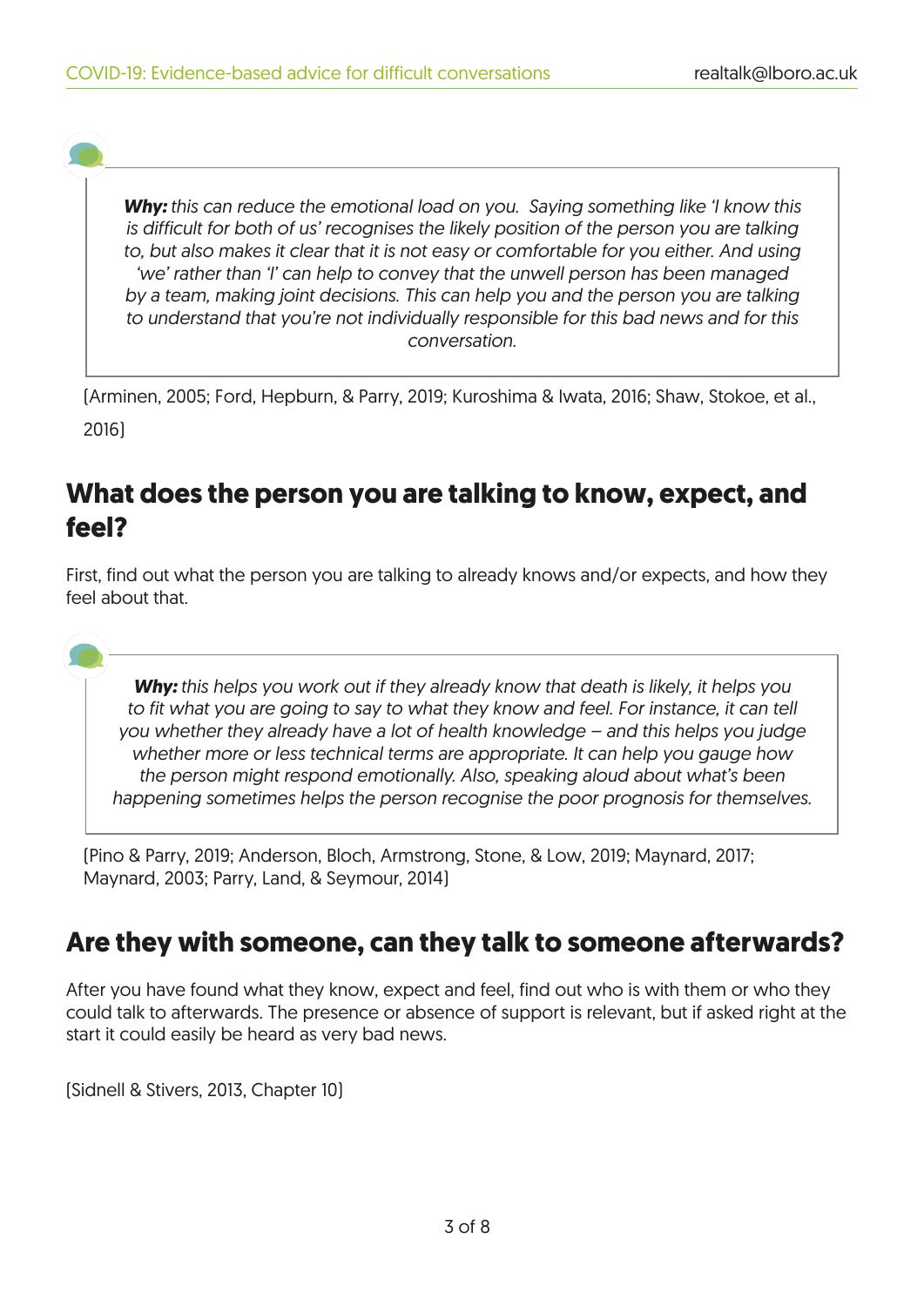*Why: this can reduce the emotional load on you. Saying something like 'I know this is difficult for both of us' recognises the likely position of the person you are talking to, but also makes it clear that it is not easy or comfortable for you either. And using 'we' rather than 'I' can help to convey that the unwell person has been managed by a team, making joint decisions. This can help you and the person you are talking to understand that you're not individually responsible for this bad news and for this conversation.* 

(Arminen, 2005; Ford, Hepburn, & Parry, 2019; Kuroshima & Iwata, 2016; Shaw, Stokoe, et al., 2016)

### **What does the person you are talking to know, expect, and feel?**

First, find out what the person you are talking to already knows and/or expects, and how they feel about that.

*Why: this helps you work out if they already know that death is likely, it helps you to fit what you are going to say to what they know and feel. For instance, it can tell you whether they already have a lot of health knowledge – and this helps you judge whether more or less technical terms are appropriate. It can help you gauge how the person might respond emotionally. Also, speaking aloud about what's been happening sometimes helps the person recognise the poor prognosis for themselves.*

(Pino & Parry, 2019; Anderson, Bloch, Armstrong, Stone, & Low, 2019; Maynard, 2017; Maynard, 2003; Parry, Land, & Seymour, 2014)

#### **Are they with someone, can they talk to someone afterwards?**

After you have found what they know, expect and feel, find out who is with them or who they could talk to afterwards. The presence or absence of support is relevant, but if asked right at the start it could easily be heard as very bad news.

(Sidnell & Stivers, 2013, Chapter 10)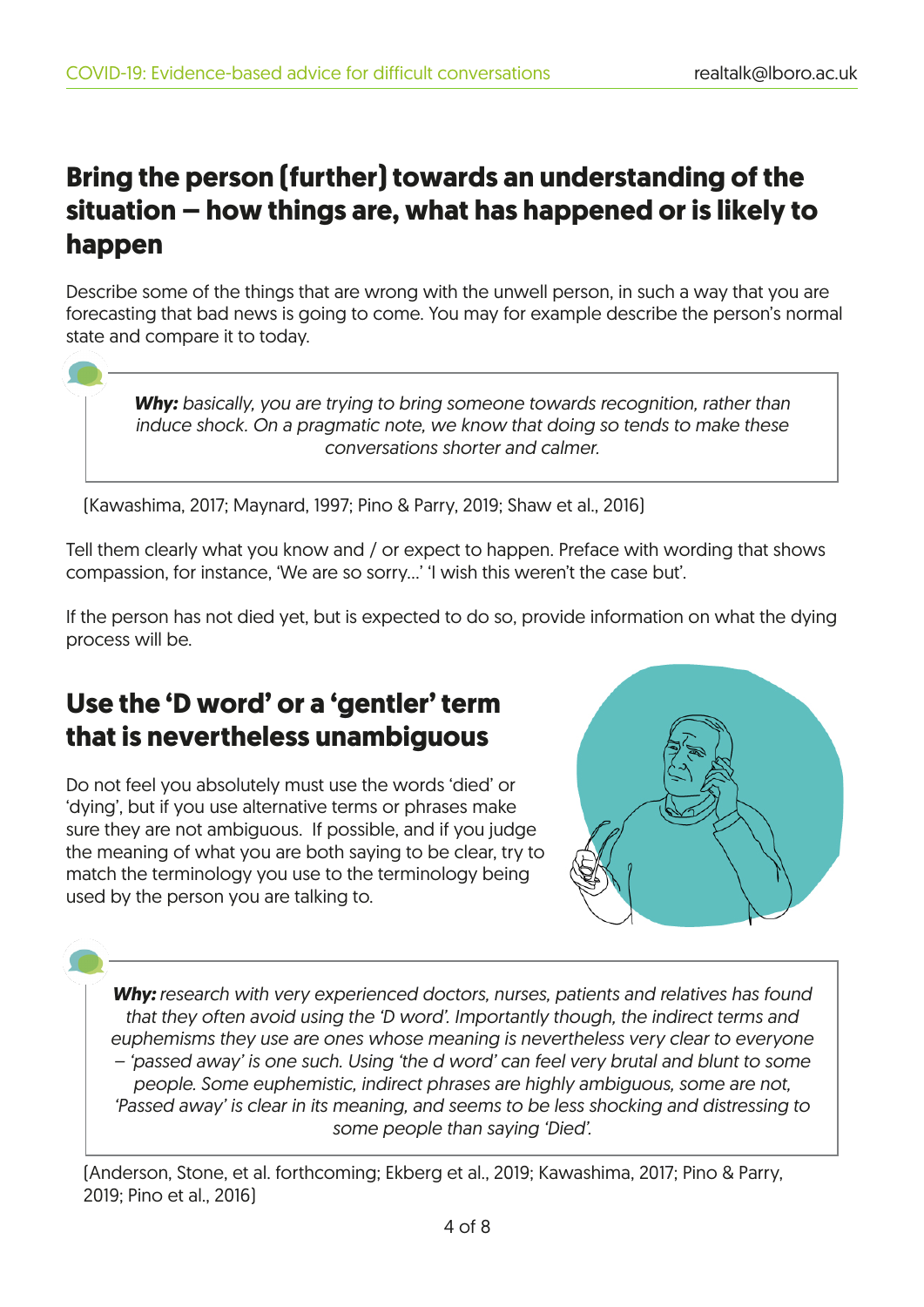## **Bring the person (further) towards an understanding of the situation – how things are, what has happened or is likely to happen**

Describe some of the things that are wrong with the unwell person, in such a way that you are forecasting that bad news is going to come. You may for example describe the person's normal state and compare it to today.

*Why: basically, you are trying to bring someone towards recognition, rather than induce shock. On a pragmatic note, we know that doing so tends to make these conversations shorter and calmer.* 

(Kawashima, 2017; Maynard, 1997; Pino & Parry, 2019; Shaw et al., 2016)

Tell them clearly what you know and / or expect to happen. Preface with wording that shows compassion, for instance, 'We are so sorry…' 'I wish this weren't the case but'.

If the person has not died yet, but is expected to do so, provide information on what the dying process will be.

# **Use the 'D word' or a 'gentler' term that is nevertheless unambiguous**

Do not feel you absolutely must use the words 'died' or 'dying', but if you use alternative terms or phrases make sure they are not ambiguous. If possible, and if you judge the meaning of what you are both saying to be clear, try to match the terminology you use to the terminology being used by the person you are talking to.



*Why: research with very experienced doctors, nurses, patients and relatives has found that they often avoid using the 'D word'. Importantly though, the indirect terms and euphemisms they use are ones whose meaning is nevertheless very clear to everyone – 'passed away' is one such. Using 'the d word' can feel very brutal and blunt to some people. Some euphemistic, indirect phrases are highly ambiguous, some are not, 'Passed away' is clear in its meaning, and seems to be less shocking and distressing to some people than saying 'Died'.*

(Anderson, Stone, et al. forthcoming; Ekberg et al., 2019; Kawashima, 2017; Pino & Parry, 2019; Pino et al., 2016)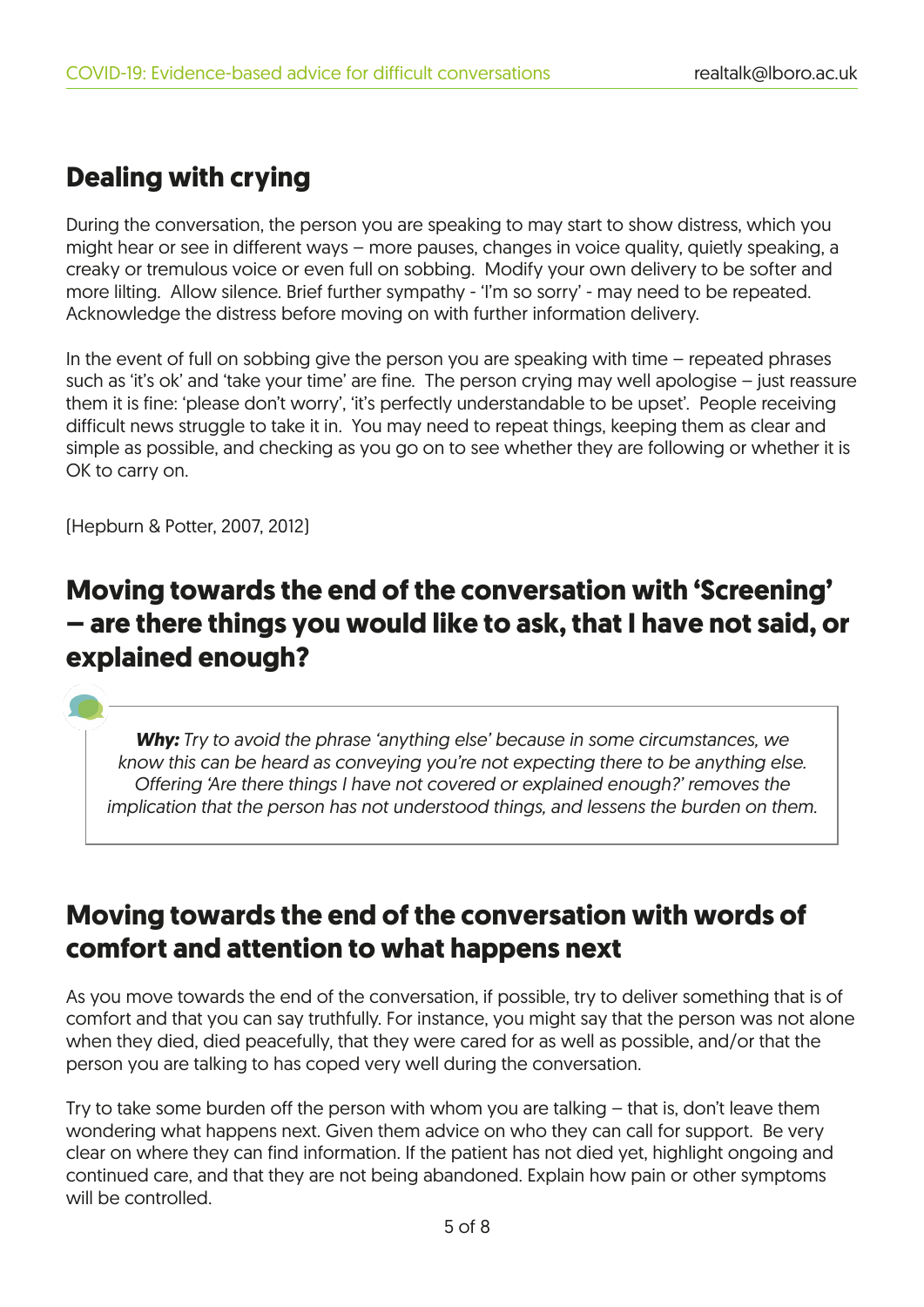# **Dealing with crying**

During the conversation, the person you are speaking to may start to show distress, which you might hear or see in different ways – more pauses, changes in voice quality, quietly speaking, a creaky or tremulous voice or even full on sobbing. Modify your own delivery to be softer and more lilting. Allow silence. Brief further sympathy - 'I'm so sorry' - may need to be repeated. Acknowledge the distress before moving on with further information delivery.

In the event of full on sobbing give the person you are speaking with time – repeated phrases such as 'it's ok' and 'take your time' are fine. The person crying may well apologise – just reassure them it is fine: 'please don't worry', 'it's perfectly understandable to be upset'. People receiving difficult news struggle to take it in. You may need to repeat things, keeping them as clear and simple as possible, and checking as you go on to see whether they are following or whether it is OK to carry on.

(Hepburn & Potter, 2007, 2012)

## **Moving towards the end of the conversation with 'Screening' – are there things you would like to ask, that I have not said, or explained enough?**

*Why: Try to avoid the phrase 'anything else' because in some circumstances, we know this can be heard as conveying you're not expecting there to be anything else. Offering 'Are there things I have not covered or explained enough?' removes the implication that the person has not understood things, and lessens the burden on them.*

### **Moving towards the end of the conversation with words of comfort and attention to what happens next**

As you move towards the end of the conversation, if possible, try to deliver something that is of comfort and that you can say truthfully. For instance, you might say that the person was not alone when they died, died peacefully, that they were cared for as well as possible, and/or that the person you are talking to has coped very well during the conversation.

Try to take some burden off the person with whom you are talking – that is, don't leave them wondering what happens next. Given them advice on who they can call for support. Be very clear on where they can find information. If the patient has not died yet, highlight ongoing and continued care, and that they are not being abandoned. Explain how pain or other symptoms will be controlled.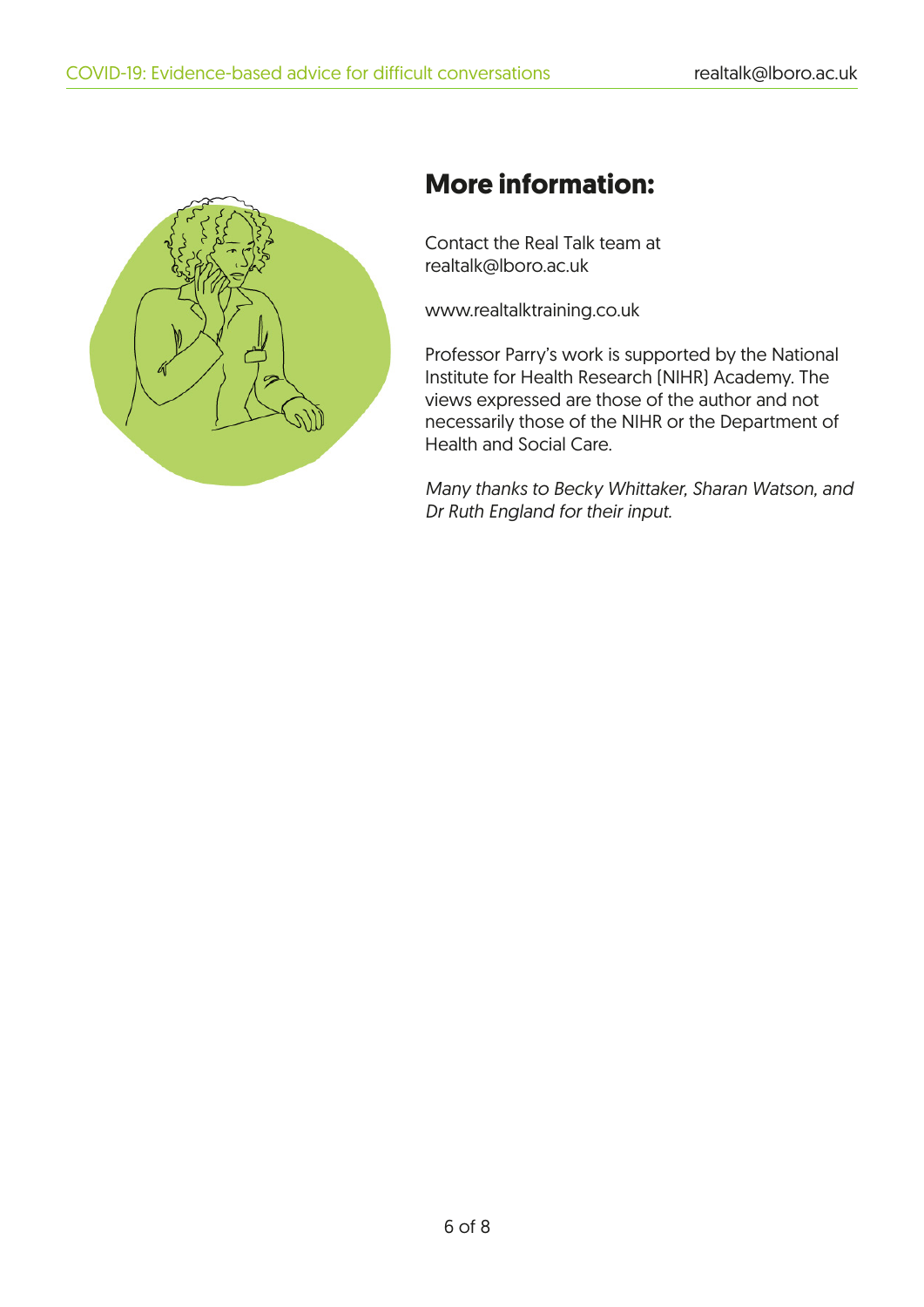

# **More information:**

Contact the Real Talk team at realtalk@lboro.ac.uk

www.realtalktraining.co.uk

Professor Parry's work is supported by the National Institute for Health Research (NIHR) Academy. The views expressed are those of the author and not necessarily those of the NIHR or the Department of Health and Social Care.

*Many thanks to Becky Whittaker, Sharan Watson, and Dr Ruth England for their input.*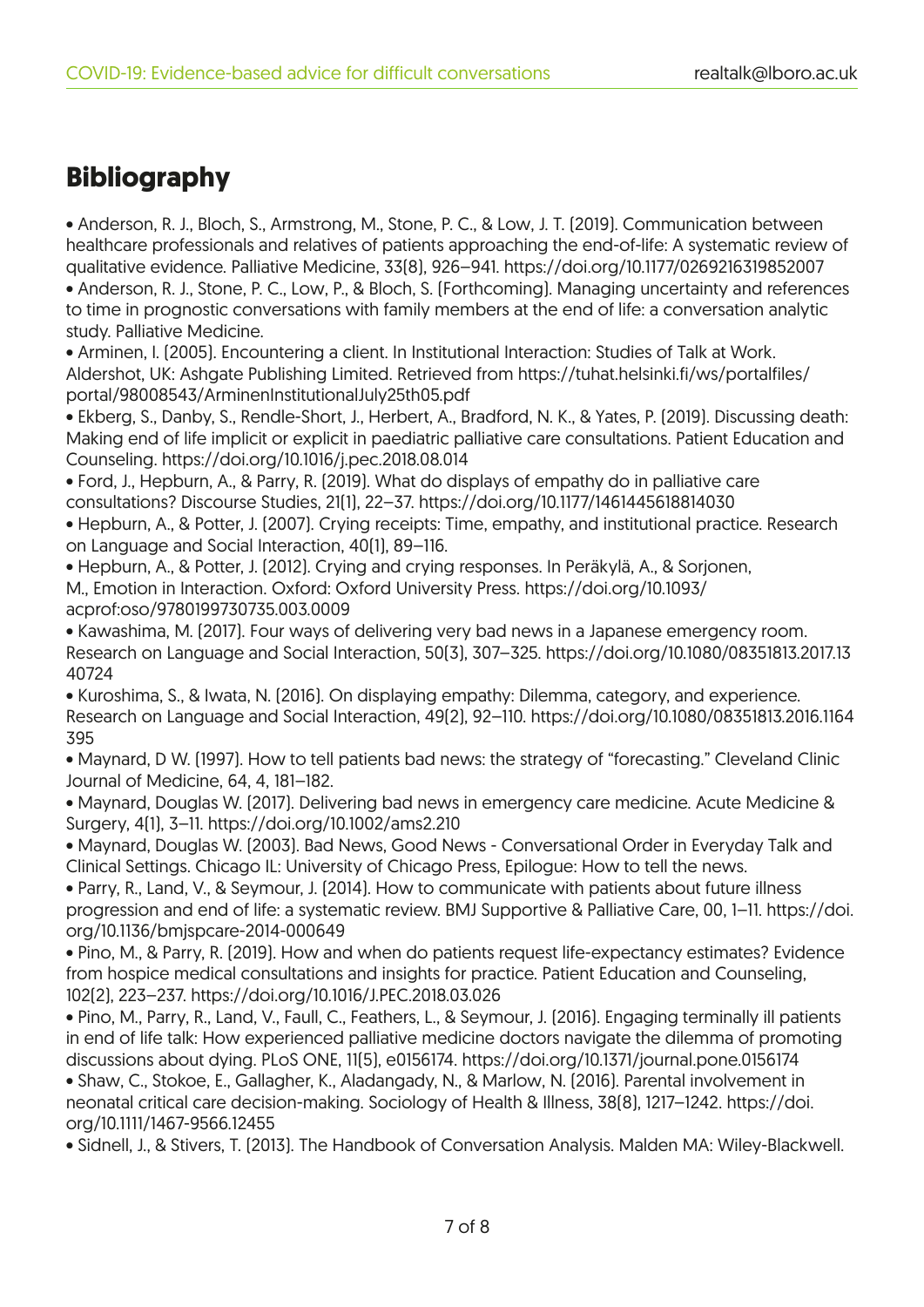# **Bibliography**

• Anderson, R. J., Bloch, S., Armstrong, M., Stone, P. C., & Low, J. T. (2019). Communication between healthcare professionals and relatives of patients approaching the end-of-life: A systematic review of qualitative evidence. Palliative Medicine, 33(8), 926–941. https://doi.org/10.1177/0269216319852007 • Anderson, R. J., Stone, P. C., Low, P., & Bloch, S. (Forthcoming). Managing uncertainty and references to time in prognostic conversations with family members at the end of life: a conversation analytic study. Palliative Medicine.

• Arminen, I. (2005). Encountering a client. In Institutional Interaction: Studies of Talk at Work. Aldershot, UK: Ashgate Publishing Limited. Retrieved from https://tuhat.helsinki.fi/ws/portalfiles/ portal/98008543/ArminenInstitutionalJuly25th05.pdf

• Ekberg, S., Danby, S., Rendle-Short, J., Herbert, A., Bradford, N. K., & Yates, P. (2019). Discussing death: Making end of life implicit or explicit in paediatric palliative care consultations. Patient Education and Counseling. https://doi.org/10.1016/j.pec.2018.08.014

• Ford, J., Hepburn, A., & Parry, R. (2019). What do displays of empathy do in palliative care consultations? Discourse Studies, 21(1), 22–37. https://doi.org/10.1177/1461445618814030

• Hepburn, A., & Potter, J. (2007). Crying receipts: Time, empathy, and institutional practice. Research on Language and Social Interaction, 40(1), 89–116.

• Hepburn, A., & Potter, J. (2012). Crying and crying responses. In Peräkylä, A., & Sorjonen, M., Emotion in Interaction. Oxford: Oxford University Press. https://doi.org/10.1093/ acprof:oso/9780199730735.003.0009

• Kawashima, M. (2017). Four ways of delivering very bad news in a Japanese emergency room. Research on Language and Social Interaction, 50(3), 307–325. https://doi.org/10.1080/08351813.2017.13 40724

• Kuroshima, S., & Iwata, N. (2016). On displaying empathy: Dilemma, category, and experience. Research on Language and Social Interaction, 49(2), 92–110. https://doi.org/10.1080/08351813.2016.1164 395

• Maynard, D W. (1997). How to tell patients bad news: the strategy of "forecasting." Cleveland Clinic Journal of Medicine, 64, 4, 181–182.

• Maynard, Douglas W. (2017). Delivering bad news in emergency care medicine. Acute Medicine & Surgery, 4(1), 3–11. https://doi.org/10.1002/ams2.210

• Maynard, Douglas W. (2003). Bad News, Good News - Conversational Order in Everyday Talk and Clinical Settings. Chicago IL: University of Chicago Press, Epilogue: How to tell the news.

• Parry, R., Land, V., & Seymour, J. (2014). How to communicate with patients about future illness progression and end of life: a systematic review. BMJ Supportive & Palliative Care, 00, 1–11. https://doi. org/10.1136/bmjspcare-2014-000649

• Pino, M., & Parry, R. (2019). How and when do patients request life-expectancy estimates? Evidence from hospice medical consultations and insights for practice. Patient Education and Counseling, 102(2), 223–237. https://doi.org/10.1016/J.PEC.2018.03.026

• Pino, M., Parry, R., Land, V., Faull, C., Feathers, L., & Seymour, J. (2016). Engaging terminally ill patients in end of life talk: How experienced palliative medicine doctors navigate the dilemma of promoting discussions about dying. PLoS ONE, 11(5), e0156174. https://doi.org/10.1371/journal.pone.0156174

• Shaw, C., Stokoe, E., Gallagher, K., Aladangady, N., & Marlow, N. (2016). Parental involvement in neonatal critical care decision-making. Sociology of Health & Illness, 38(8), 1217–1242. https://doi. org/10.1111/1467-9566.12455

• Sidnell, J., & Stivers, T. (2013). The Handbook of Conversation Analysis. Malden MA: Wiley-Blackwell.